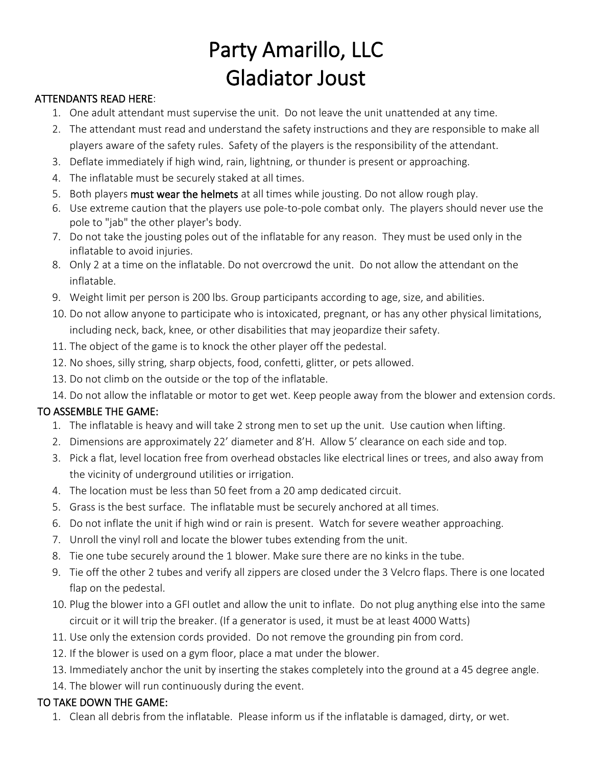## Party Amarillo, LLC Gladiator Joust

## ATTENDANTS READ HERE:

- 1. One adult attendant must supervise the unit. Do not leave the unit unattended at any time.
- 2. The attendant must read and understand the safety instructions and they are responsible to make all players aware of the safety rules. Safety of the players is the responsibility of the attendant.
- 3. Deflate immediately if high wind, rain, lightning, or thunder is present or approaching.
- 4. The inflatable must be securely staked at all times.
- 5. Both players must wear the helmets at all times while jousting. Do not allow rough play.
- 6. Use extreme caution that the players use pole-to-pole combat only. The players should never use the pole to "jab" the other player's body.
- 7. Do not take the jousting poles out of the inflatable for any reason. They must be used only in the inflatable to avoid injuries.
- 8. Only 2 at a time on the inflatable. Do not overcrowd the unit. Do not allow the attendant on the inflatable.
- 9. Weight limit per person is 200 lbs. Group participants according to age, size, and abilities.
- 10. Do not allow anyone to participate who is intoxicated, pregnant, or has any other physical limitations, including neck, back, knee, or other disabilities that may jeopardize their safety.
- 11. The object of the game is to knock the other player off the pedestal.
- 12. No shoes, silly string, sharp objects, food, confetti, glitter, or pets allowed.
- 13. Do not climb on the outside or the top of the inflatable.
- 14. Do not allow the inflatable or motor to get wet. Keep people away from the blower and extension cords.

## TO ASSEMBLE THE GAME:

- 1. The inflatable is heavy and will take 2 strong men to set up the unit. Use caution when lifting.
- 2. Dimensions are approximately 22' diameter and 8'H. Allow 5' clearance on each side and top.
- 3. Pick a flat, level location free from overhead obstacles like electrical lines or trees, and also away from the vicinity of underground utilities or irrigation.
- 4. The location must be less than 50 feet from a 20 amp dedicated circuit.
- 5. Grass is the best surface. The inflatable must be securely anchored at all times.
- 6. Do not inflate the unit if high wind or rain is present. Watch for severe weather approaching.
- 7. Unroll the vinyl roll and locate the blower tubes extending from the unit.
- 8. Tie one tube securely around the 1 blower. Make sure there are no kinks in the tube.
- 9. Tie off the other 2 tubes and verify all zippers are closed under the 3 Velcro flaps. There is one located flap on the pedestal.
- 10. Plug the blower into a GFI outlet and allow the unit to inflate. Do not plug anything else into the same circuit or it will trip the breaker. (If a generator is used, it must be at least 4000 Watts)
- 11. Use only the extension cords provided. Do not remove the grounding pin from cord.
- 12. If the blower is used on a gym floor, place a mat under the blower.
- 13. Immediately anchor the unit by inserting the stakes completely into the ground at a 45 degree angle.
- 14. The blower will run continuously during the event.

## TO TAKE DOWN THE GAME:

1. Clean all debris from the inflatable. Please inform us if the inflatable is damaged, dirty, or wet.